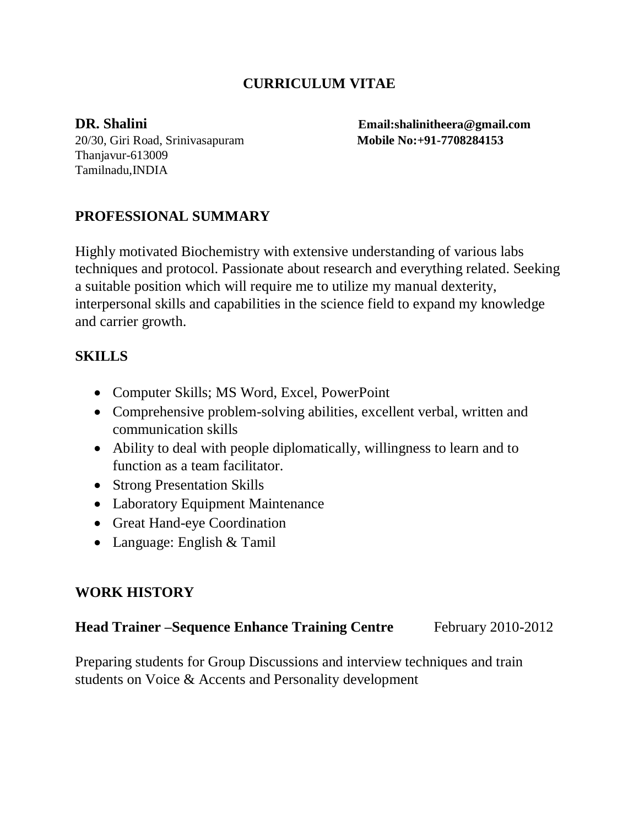## **CURRICULUM VITAE**

20/30, Giri Road, Srinivasapuram **Mobile No:+91-7708284153** Thanjavur-613009 Tamilnadu,INDIA

**DR. Shalini Email:shalinitheera@gmail.com**

#### **PROFESSIONAL SUMMARY**

Highly motivated Biochemistry with extensive understanding of various labs techniques and protocol. Passionate about research and everything related. Seeking a suitable position which will require me to utilize my manual dexterity, interpersonal skills and capabilities in the science field to expand my knowledge and carrier growth.

#### **SKILLS**

- Computer Skills; MS Word, Excel, PowerPoint
- Comprehensive problem-solving abilities, excellent verbal, written and communication skills
- Ability to deal with people diplomatically, willingness to learn and to function as a team facilitator.
- Strong Presentation Skills
- Laboratory Equipment Maintenance
- Great Hand-eye Coordination
- Language: English & Tamil

### **WORK HISTORY**

**Head Trainer –Sequence Enhance Training Centre** February 2010-2012

Preparing students for Group Discussions and interview techniques and train students on Voice & Accents and Personality development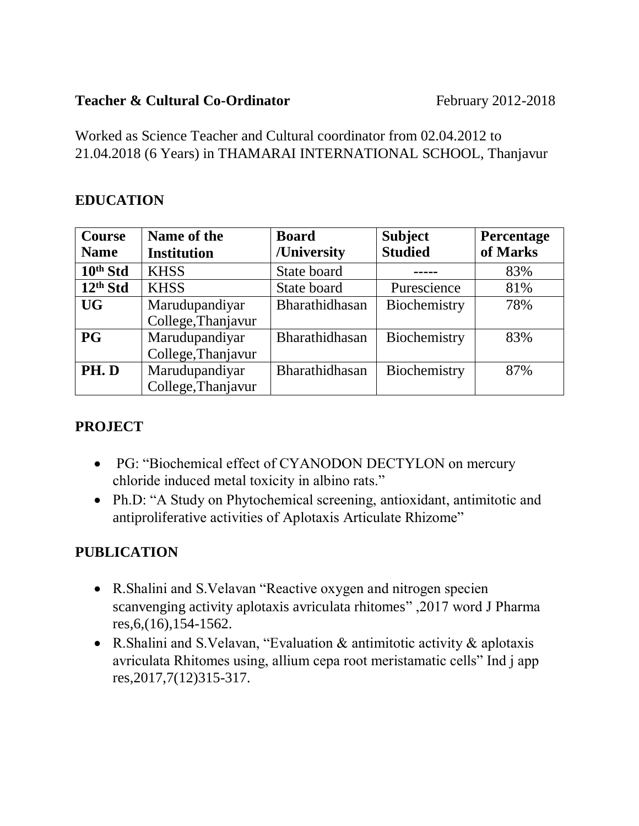#### **Teacher & Cultural Co-Ordinator February 2012-2018**

Worked as Science Teacher and Cultural coordinator from 02.04.2012 to 21.04.2018 (6 Years) in THAMARAI INTERNATIONAL SCHOOL, Thanjavur

### **EDUCATION**

| <b>Course</b> | Name of the        | <b>Board</b>   | <b>Subject</b> | Percentage |
|---------------|--------------------|----------------|----------------|------------|
| <b>Name</b>   | <b>Institution</b> | /University    | <b>Studied</b> | of Marks   |
| 10th Std      | <b>KHSS</b>        | State board    |                | 83%        |
| $12th$ Std    | <b>KHSS</b>        | State board    | Purescience    | 81%        |
| <b>UG</b>     | Marudupandiyar     | Bharathidhasan | Biochemistry   | 78%        |
|               | College, Thanjavur |                |                |            |
| P G           | Marudupandiyar     | Bharathidhasan | Biochemistry   | 83%        |
|               | College, Thanjavur |                |                |            |
| PH.D          | Marudupandiyar     | Bharathidhasan | Biochemistry   | 87%        |
|               | College, Thanjavur |                |                |            |

# **PROJECT**

- PG: "Biochemical effect of CYANODON DECTYLON on mercury chloride induced metal toxicity in albino rats."
- Ph.D: "A Study on Phytochemical screening, antioxidant, antimitotic and antiproliferative activities of Aplotaxis Articulate Rhizome"

# **PUBLICATION**

- R.Shalini and S.Velavan "Reactive oxygen and nitrogen specien scanvenging activity aplotaxis avriculata rhitomes" ,2017 word J Pharma res,6,(16),154-1562.
- R.Shalini and S.Velavan, "Evaluation & antimitotic activity & aplotaxis avriculata Rhitomes using, allium cepa root meristamatic cells" Ind j app res,2017,7(12)315-317.